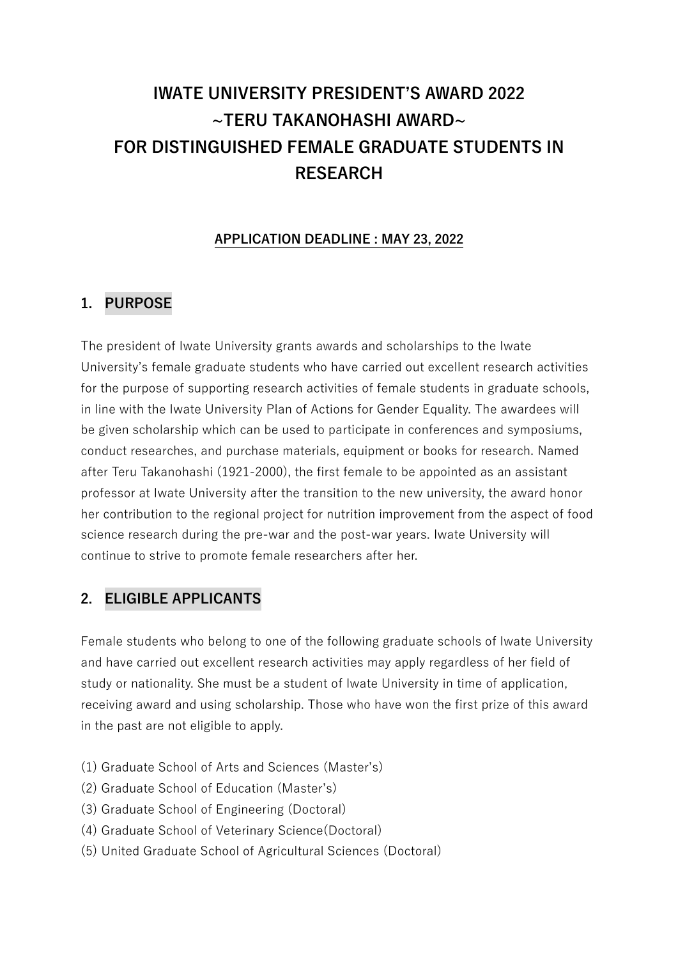# **IWATE UNIVERSITY PRESIDENT'S AWARD 2022 ~TERU TAKANOHASHI AWARD~ FOR DISTINGUISHED FEMALE GRADUATE STUDENTS IN RESEARCH**

#### **APPLICATION DEADLINE : MAY 23, 2022**

## **1. PURPOSE**

The president of Iwate University grants awards and scholarships to the Iwate University's female graduate students who have carried out excellent research activities for the purpose of supporting research activities of female students in graduate schools, in line with the Iwate University Plan of Actions for Gender Equality. The awardees will be given scholarship which can be used to participate in conferences and symposiums, conduct researches, and purchase materials, equipment or books for research. Named after Teru Takanohashi (1921-2000), the first female to be appointed as an assistant professor at Iwate University after the transition to the new university, the award honor her contribution to the regional project for nutrition improvement from the aspect of food science research during the pre-war and the post-war years. Iwate University will continue to strive to promote female researchers after her.

#### **2. ELIGIBLE APPLICANTS**

Female students who belong to one of the following graduate schools of Iwate University and have carried out excellent research activities may apply regardless of her field of study or nationality. She must be a student of Iwate University in time of application, receiving award and using scholarship. Those who have won the first prize of this award in the past are not eligible to apply.

- (1) Graduate School of Arts and Sciences (Master's)
- (2) Graduate School of Education (Master's)
- (3) Graduate School of Engineering (Doctoral)
- (4) Graduate School of Veterinary Science(Doctoral)
- (5) United Graduate School of Agricultural Sciences (Doctoral)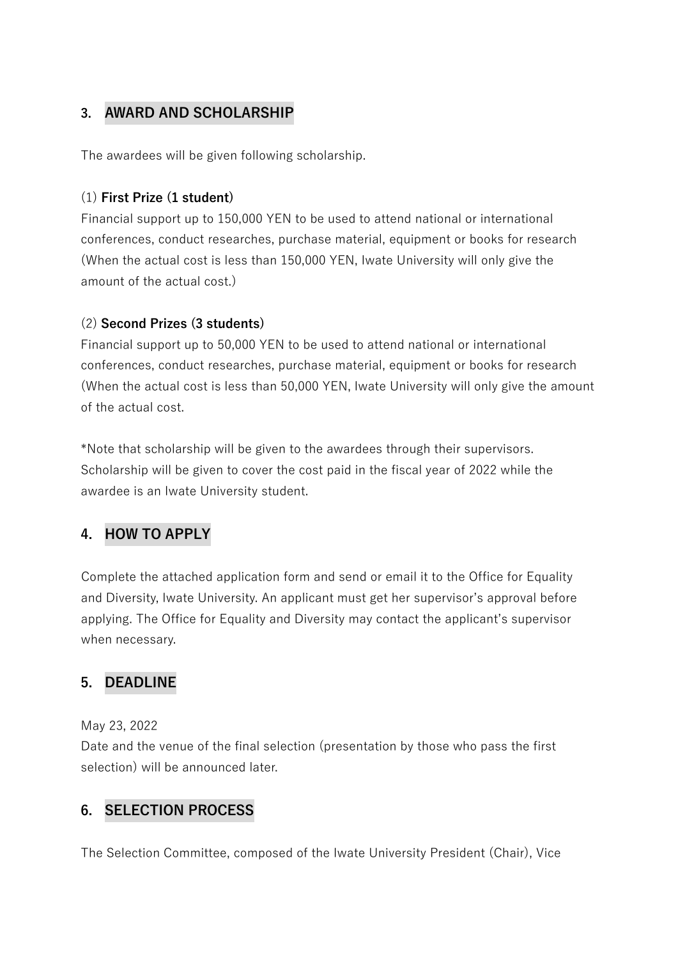### **3. AWARD AND SCHOLARSHIP**

The awardees will be given following scholarship.

#### (1) **First Prize (1 student)**

 Financial support up to 150,000 YEN to be used to attend national or international conferences, conduct researches, purchase material, equipment or books for research (When the actual cost is less than 150,000 YEN, Iwate University will only give the amount of the actual cost.)

#### (2) **Second Prizes (3 students)**

Financial support up to 50,000 YEN to be used to attend national or international conferences, conduct researches, purchase material, equipment or books for research (When the actual cost is less than 50,000 YEN, Iwate University will only give the amount of the actual cost.

\*Note that scholarship will be given to the awardees through their supervisors. Scholarship will be given to cover the cost paid in the fiscal year of 2022 while the awardee is an Iwate University student.

# **4. HOW TO APPLY**

Complete the attached application form and send or email it to the Office for Equality and Diversity, Iwate University. An applicant must get her supervisor's approval before applying. The Office for Equality and Diversity may contact the applicant's supervisor when necessary.

# **5. DEADLINE**

May 23, 2022

Date and the venue of the final selection (presentation by those who pass the first selection) will be announced later.

### **6. SELECTION PROCESS**

The Selection Committee, composed of the Iwate University President (Chair), Vice